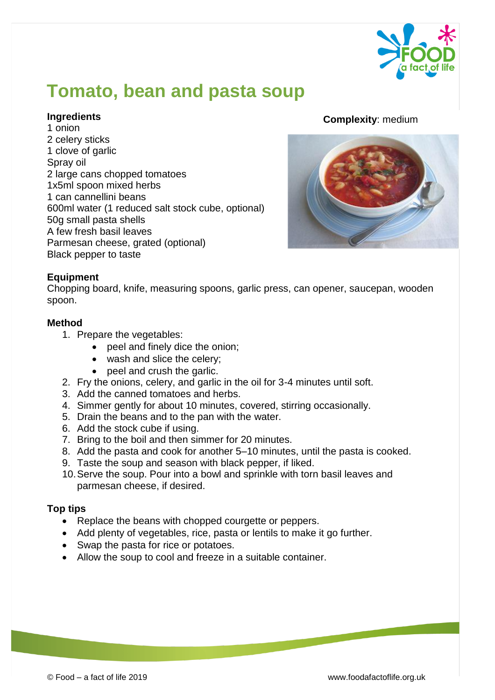

# **Tomato, bean and pasta soup**

### **Ingredients**

1 onion 2 celery sticks 1 clove of garlic Spray oil 2 large cans chopped tomatoes 1x5ml spoon mixed herbs 1 can cannellini beans 600ml water (1 reduced salt stock cube, optional) 50g small pasta shells A few fresh basil leaves Parmesan cheese, grated (optional) Black pepper to taste

### **Complexity**: medium



## **Equipment**

Chopping board, knife, measuring spoons, garlic press, can opener, saucepan, wooden spoon.

#### **Method**

- 1. Prepare the vegetables:
	- peel and finely dice the onion;
	- wash and slice the celery;
	- peel and crush the garlic.
- 2. Fry the onions, celery, and garlic in the oil for 3-4 minutes until soft.
- 3. Add the canned tomatoes and herbs.
- 4. Simmer gently for about 10 minutes, covered, stirring occasionally.
- 5. Drain the beans and to the pan with the water.
- 6. Add the stock cube if using.
- 7. Bring to the boil and then simmer for 20 minutes.
- 8. Add the pasta and cook for another 5–10 minutes, until the pasta is cooked.
- 9. Taste the soup and season with black pepper, if liked.
- 10.Serve the soup. Pour into a bowl and sprinkle with torn basil leaves and parmesan cheese, if desired.

#### **Top tips**

- Replace the beans with chopped courgette or peppers.
- Add plenty of vegetables, rice, pasta or lentils to make it go further.
- Swap the pasta for rice or potatoes.
- Allow the soup to cool and freeze in a suitable container.